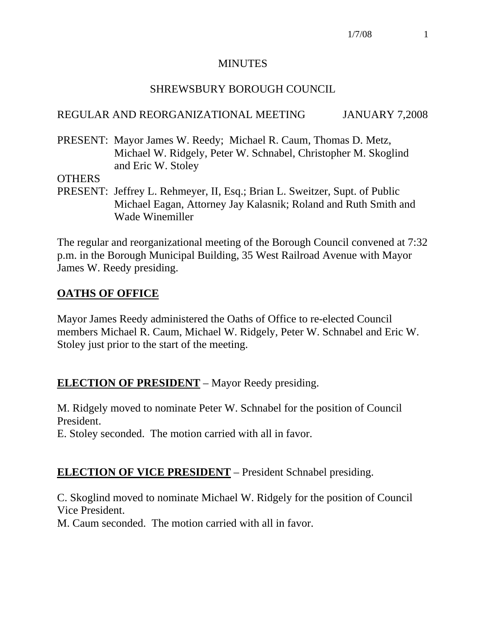#### MINUTES

#### SHREWSBURY BOROUGH COUNCIL

#### REGULAR AND REORGANIZATIONAL MEETING JANUARY 7,2008

PRESENT: Mayor James W. Reedy; Michael R. Caum, Thomas D. Metz, Michael W. Ridgely, Peter W. Schnabel, Christopher M. Skoglind and Eric W. Stoley

**OTHERS** 

PRESENT: Jeffrey L. Rehmeyer, II, Esq.; Brian L. Sweitzer, Supt. of Public Michael Eagan, Attorney Jay Kalasnik; Roland and Ruth Smith and Wade Winemiller

The regular and reorganizational meeting of the Borough Council convened at 7:32 p.m. in the Borough Municipal Building, 35 West Railroad Avenue with Mayor James W. Reedy presiding.

## **OATHS OF OFFICE**

Mayor James Reedy administered the Oaths of Office to re-elected Council members Michael R. Caum, Michael W. Ridgely, Peter W. Schnabel and Eric W. Stoley just prior to the start of the meeting.

## **ELECTION OF PRESIDENT** – Mayor Reedy presiding.

M. Ridgely moved to nominate Peter W. Schnabel for the position of Council President.

E. Stoley seconded. The motion carried with all in favor.

#### **ELECTION OF VICE PRESIDENT** – President Schnabel presiding.

C. Skoglind moved to nominate Michael W. Ridgely for the position of Council Vice President.

M. Caum seconded. The motion carried with all in favor.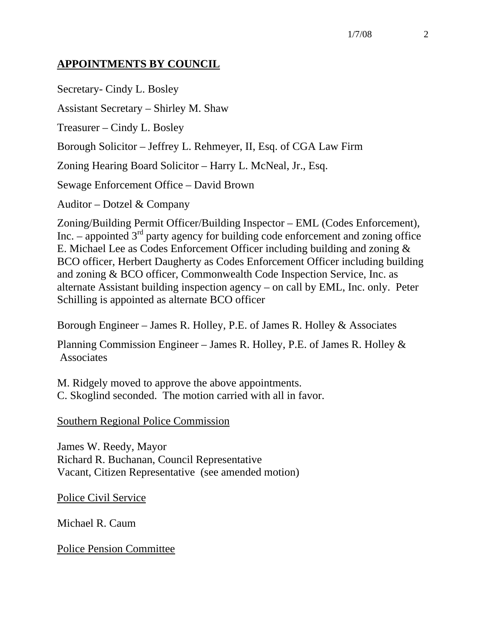## **APPOINTMENTS BY COUNCIL**

Secretary- Cindy L. Bosley

Assistant Secretary – Shirley M. Shaw

Treasurer – Cindy L. Bosley

Borough Solicitor – Jeffrey L. Rehmeyer, II, Esq. of CGA Law Firm

Zoning Hearing Board Solicitor – Harry L. McNeal, Jr., Esq.

Sewage Enforcement Office – David Brown

Auditor – Dotzel & Company

Zoning/Building Permit Officer/Building Inspector – EML (Codes Enforcement), Inc. – appointed  $3<sup>rd</sup>$  party agency for building code enforcement and zoning office E. Michael Lee as Codes Enforcement Officer including building and zoning & BCO officer, Herbert Daugherty as Codes Enforcement Officer including building and zoning & BCO officer, Commonwealth Code Inspection Service, Inc. as alternate Assistant building inspection agency – on call by EML, Inc. only. Peter Schilling is appointed as alternate BCO officer

Borough Engineer – James R. Holley, P.E. of James R. Holley & Associates

Planning Commission Engineer – James R. Holley, P.E. of James R. Holley & Associates

M. Ridgely moved to approve the above appointments. C. Skoglind seconded. The motion carried with all in favor.

Southern Regional Police Commission

James W. Reedy, Mayor Richard R. Buchanan, Council Representative Vacant, Citizen Representative (see amended motion)

Police Civil Service

Michael R. Caum

Police Pension Committee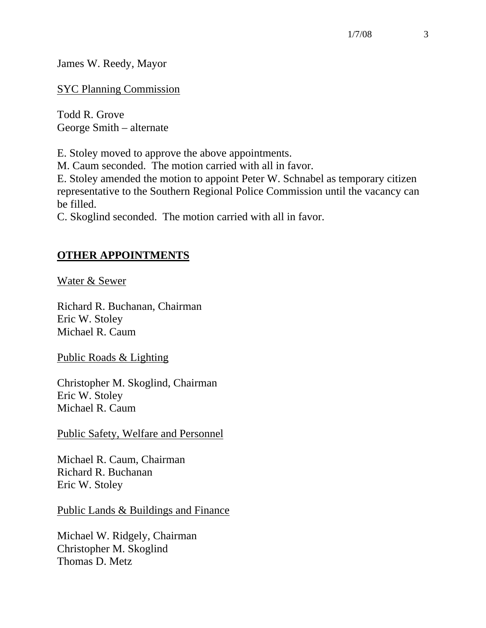James W. Reedy, Mayor

SYC Planning Commission

Todd R. Grove George Smith – alternate

E. Stoley moved to approve the above appointments.

M. Caum seconded. The motion carried with all in favor.

E. Stoley amended the motion to appoint Peter W. Schnabel as temporary citizen representative to the Southern Regional Police Commission until the vacancy can be filled.

C. Skoglind seconded. The motion carried with all in favor.

### **OTHER APPOINTMENTS**

Water & Sewer

Richard R. Buchanan, Chairman Eric W. Stoley Michael R. Caum

Public Roads & Lighting

Christopher M. Skoglind, Chairman Eric W. Stoley Michael R. Caum

Public Safety, Welfare and Personnel

Michael R. Caum, Chairman Richard R. Buchanan Eric W. Stoley

Public Lands & Buildings and Finance

Michael W. Ridgely, Chairman Christopher M. Skoglind Thomas D. Metz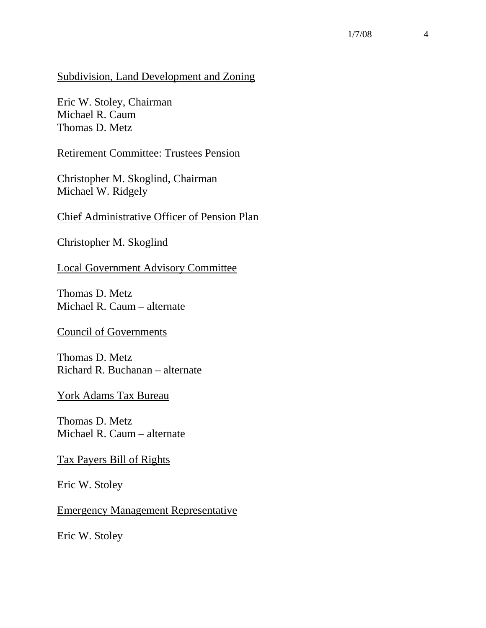#### Subdivision, Land Development and Zoning

Eric W. Stoley, Chairman Michael R. Caum Thomas D. Metz

Retirement Committee: Trustees Pension

Christopher M. Skoglind, Chairman Michael W. Ridgely

Chief Administrative Officer of Pension Plan

Christopher M. Skoglind

Local Government Advisory Committee

Thomas D. Metz Michael R. Caum – alternate

Council of Governments

Thomas D. Metz Richard R. Buchanan – alternate

York Adams Tax Bureau

Thomas D. Metz Michael R. Caum – alternate

Tax Payers Bill of Rights

Eric W. Stoley

Emergency Management Representative

Eric W. Stoley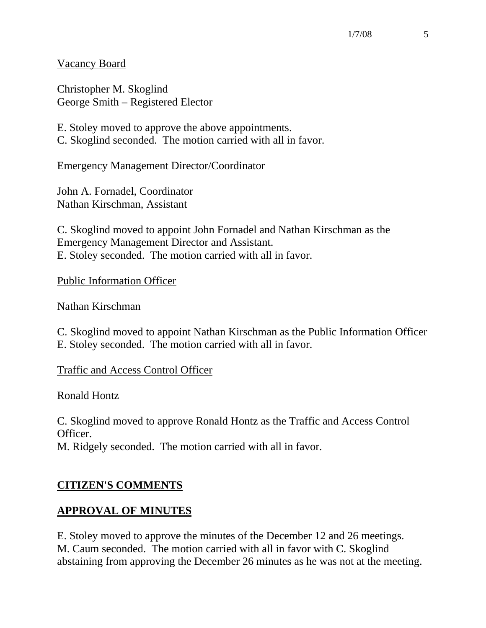1/7/08 5

Vacancy Board

Christopher M. Skoglind George Smith – Registered Elector

E. Stoley moved to approve the above appointments. C. Skoglind seconded. The motion carried with all in favor.

Emergency Management Director/Coordinator

John A. Fornadel, Coordinator Nathan Kirschman, Assistant

C. Skoglind moved to appoint John Fornadel and Nathan Kirschman as the Emergency Management Director and Assistant. E. Stoley seconded. The motion carried with all in favor.

Public Information Officer

Nathan Kirschman

C. Skoglind moved to appoint Nathan Kirschman as the Public Information Officer E. Stoley seconded. The motion carried with all in favor.

Traffic and Access Control Officer

Ronald Hontz

C. Skoglind moved to approve Ronald Hontz as the Traffic and Access Control Officer.

M. Ridgely seconded. The motion carried with all in favor.

## **CITIZEN'S COMMENTS**

#### **APPROVAL OF MINUTES**

E. Stoley moved to approve the minutes of the December 12 and 26 meetings. M. Caum seconded. The motion carried with all in favor with C. Skoglind abstaining from approving the December 26 minutes as he was not at the meeting.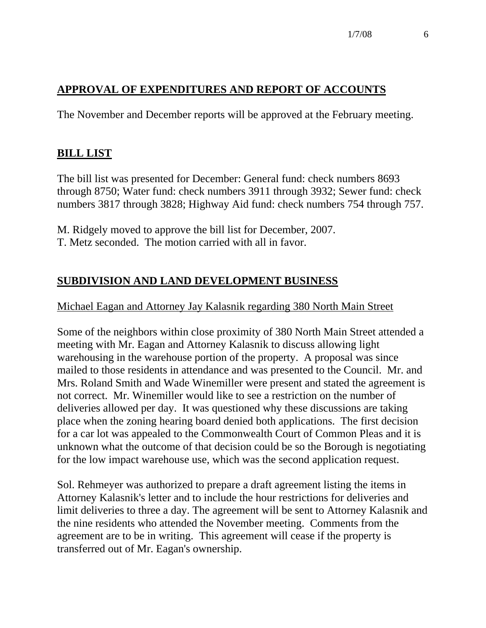# **APPROVAL OF EXPENDITURES AND REPORT OF ACCOUNTS**

The November and December reports will be approved at the February meeting.

## **BILL LIST**

The bill list was presented for December: General fund: check numbers 8693 through 8750; Water fund: check numbers 3911 through 3932; Sewer fund: check numbers 3817 through 3828; Highway Aid fund: check numbers 754 through 757.

M. Ridgely moved to approve the bill list for December, 2007.

T. Metz seconded. The motion carried with all in favor.

# **SUBDIVISION AND LAND DEVELOPMENT BUSINESS**

#### Michael Eagan and Attorney Jay Kalasnik regarding 380 North Main Street

Some of the neighbors within close proximity of 380 North Main Street attended a meeting with Mr. Eagan and Attorney Kalasnik to discuss allowing light warehousing in the warehouse portion of the property. A proposal was since mailed to those residents in attendance and was presented to the Council. Mr. and Mrs. Roland Smith and Wade Winemiller were present and stated the agreement is not correct. Mr. Winemiller would like to see a restriction on the number of deliveries allowed per day. It was questioned why these discussions are taking place when the zoning hearing board denied both applications. The first decision for a car lot was appealed to the Commonwealth Court of Common Pleas and it is unknown what the outcome of that decision could be so the Borough is negotiating for the low impact warehouse use, which was the second application request.

Sol. Rehmeyer was authorized to prepare a draft agreement listing the items in Attorney Kalasnik's letter and to include the hour restrictions for deliveries and limit deliveries to three a day. The agreement will be sent to Attorney Kalasnik and the nine residents who attended the November meeting. Comments from the agreement are to be in writing. This agreement will cease if the property is transferred out of Mr. Eagan's ownership.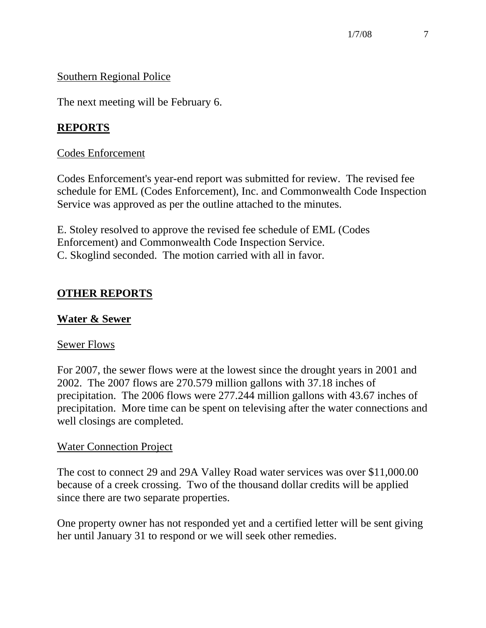## Southern Regional Police

The next meeting will be February 6.

# **REPORTS**

#### Codes Enforcement

Codes Enforcement's year-end report was submitted for review. The revised fee schedule for EML (Codes Enforcement), Inc. and Commonwealth Code Inspection Service was approved as per the outline attached to the minutes.

E. Stoley resolved to approve the revised fee schedule of EML (Codes Enforcement) and Commonwealth Code Inspection Service. C. Skoglind seconded. The motion carried with all in favor.

# **OTHER REPORTS**

#### **Water & Sewer**

#### Sewer Flows

For 2007, the sewer flows were at the lowest since the drought years in 2001 and 2002. The 2007 flows are 270.579 million gallons with 37.18 inches of precipitation. The 2006 flows were 277.244 million gallons with 43.67 inches of precipitation. More time can be spent on televising after the water connections and well closings are completed.

#### Water Connection Project

The cost to connect 29 and 29A Valley Road water services was over \$11,000.00 because of a creek crossing. Two of the thousand dollar credits will be applied since there are two separate properties.

One property owner has not responded yet and a certified letter will be sent giving her until January 31 to respond or we will seek other remedies.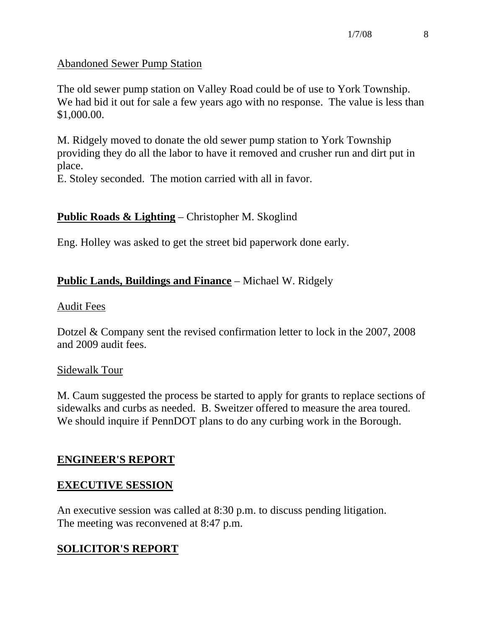#### Abandoned Sewer Pump Station

The old sewer pump station on Valley Road could be of use to York Township. We had bid it out for sale a few years ago with no response. The value is less than \$1,000.00.

M. Ridgely moved to donate the old sewer pump station to York Township providing they do all the labor to have it removed and crusher run and dirt put in place.

E. Stoley seconded. The motion carried with all in favor.

## **Public Roads & Lighting** – Christopher M. Skoglind

Eng. Holley was asked to get the street bid paperwork done early.

## **Public Lands, Buildings and Finance** – Michael W. Ridgely

#### Audit Fees

Dotzel & Company sent the revised confirmation letter to lock in the 2007, 2008 and 2009 audit fees.

#### Sidewalk Tour

M. Caum suggested the process be started to apply for grants to replace sections of sidewalks and curbs as needed. B. Sweitzer offered to measure the area toured. We should inquire if PennDOT plans to do any curbing work in the Borough.

## **ENGINEER'S REPORT**

#### **EXECUTIVE SESSION**

An executive session was called at 8:30 p.m. to discuss pending litigation. The meeting was reconvened at 8:47 p.m.

# **SOLICITOR'S REPORT**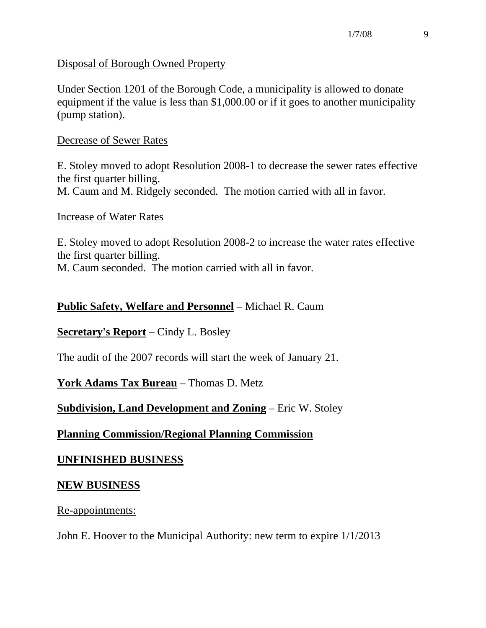Disposal of Borough Owned Property

Under Section 1201 of the Borough Code, a municipality is allowed to donate equipment if the value is less than \$1,000.00 or if it goes to another municipality (pump station).

#### Decrease of Sewer Rates

E. Stoley moved to adopt Resolution 2008-1 to decrease the sewer rates effective the first quarter billing. M. Caum and M. Ridgely seconded. The motion carried with all in favor.

#### Increase of Water Rates

E. Stoley moved to adopt Resolution 2008-2 to increase the water rates effective the first quarter billing. M. Caum seconded. The motion carried with all in favor.

### **Public Safety, Welfare and Personnel** – Michael R. Caum

#### **Secretary's Report** – Cindy L. Bosley

The audit of the 2007 records will start the week of January 21.

**York Adams Tax Bureau** – Thomas D. Metz

## **Subdivision, Land Development and Zoning** – Eric W. Stoley

## **Planning Commission/Regional Planning Commission**

## **UNFINISHED BUSINESS**

#### **NEW BUSINESS**

Re-appointments:

John E. Hoover to the Municipal Authority: new term to expire 1/1/2013